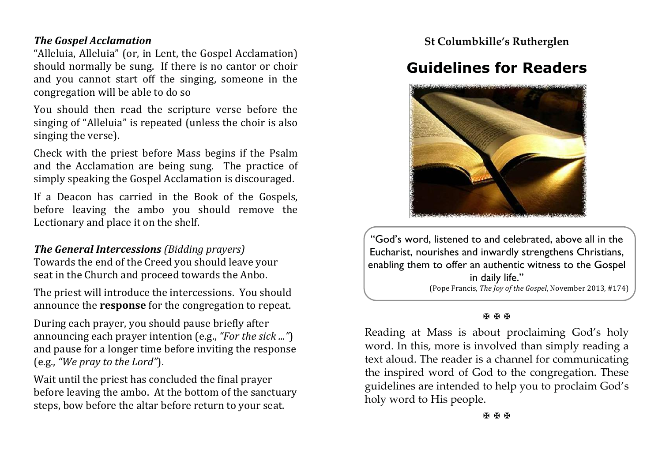### *The Gospel Acclamation*

"Alleluia, Alleluia" (or, in Lent, the Gospel Acclamation) should normally be sung. If there is no cantor or choir and you cannot start off the singing, someone in the congregation will be able to do so

You should then read the scripture verse before the singing of "Alleluia" is repeated (unless the choir is also singing the verse).

Check with the priest before Mass begins if the Psalm and the Acclamation are being sung. The practice of simply speaking the Gospel Acclamation is discouraged.

If a Deacon has carried in the Book of the Gospels, before leaving the ambo you should remove the Lectionary and place it on the shelf.

### *The General Intercessions (Bidding prayers)*

Towards the end of the Creed you should leave your seat in the Church and proceed towards the Anbo.

The priest will introduce the intercessions. You should announce the **response** for the congregation to repeat.

During each prayer, you should pause briefly after announcing each prayer intention (e.g., "For the sick ...") and pause for a longer time before inviting the response (e.g., *"We pray to the Lord"*).

Wait until the priest has concluded the final prayer before leaving the ambo. At the bottom of the sanctuary steps, bow before the altar before return to your seat.

**St Columbkille's Rutherglen**

# **Guidelines for Readers**



"God's word, listened to and celebrated, above all in the Eucharist, nourishes and inwardly strengthens Christians, enabling them to offer an authentic witness to the Gospel in daily life." (Pope Francis, *The loy of the Gospel*, November 2013, #174)

#### **K K K**

Reading at Mass is about proclaiming God's holy word. In this, more is involved than simply reading a text aloud. The reader is a channel for communicating the inspired word of God to the congregation. These guidelines are intended to help you to proclaim God's holy word to His people.